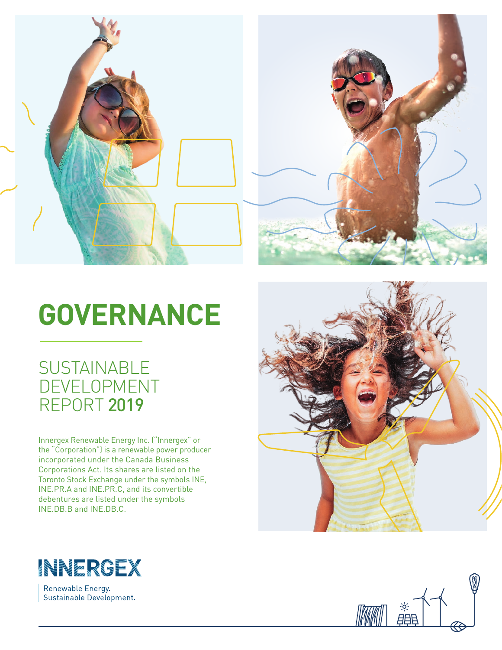



# **GOVERNANCE**

### **SUSTAINABLE** DEVELOPMENT REPORT 2019

Innergex Renewable Energy Inc. ("Innergex" or the "Corporation") is a renewable power producer incorporated under the Canada Business Corporations Act. Its shares are listed on the Toronto Stock Exchange under the symbols INE, INE.PR.A and INE.PR.C, and its convertible debentures are listed under the symbols INE.DB.B and INE.DB.C.



Renewable Energy. Sustainable Development.



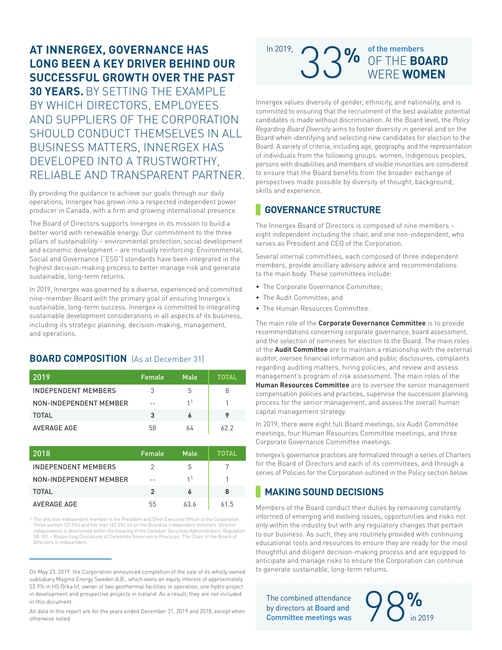#### **AT INNERGEX, GOVERNANCE HAS LONG BEEN A KEY DRIVER BEHIND OUR SUCCESSFUL GROWTH OVER THE PAST**

**30 YEARS.** BY SETTING THE EXAMPLE BY WHICH DIRECTORS, EMPLOYEES AND SUPPLIERS OF THE CORPORATION SHOULD CONDUCT THEMSELVES IN ALL BUSINESS MATTERS, INNERGEX HAS DEVELOPED INTO A TRUSTWORTHY, RELIABLE AND TRANSPARENT PARTNER.

By providing the guidance to achieve our goals through our daily operations, Innergex has grown into a respected independent power producer in Canada, with a firm and growing international presence.

The Board of Directors supports Innergex in its mission to build a better world with renewable energy. Our commitment to the three pillars of sustainability – environmental protection, social development and economic development – are mutually reinforcing. Environmental, Social and Governance ("ESG") standards have been integrated in the highest decision-making process to better manage risk and generate sustainable, long-term returns.

In 2019, Innergex was governed by a diverse, experienced and committed nine-member Board with the primary goal of ensuring Innergex's sustainable, long-term success. Innergex is committed to integrating sustainable development considerations in all aspects of its business, including its strategic planning, decision-making, management, and operations.

#### **BOARD COMPOSITION** (As at December 31)

| 2019                   | Female | Male | TOTAL |
|------------------------|--------|------|-------|
| INDEPENDENT MEMBERS    | 3      | 5    | 8     |
| NON-INDEPENDENT MEMBER | --     | 11   |       |
| TOTAL                  | 3      |      | 9     |
| <b>AVERAGE AGE</b>     | 58     | 64   | 622   |

| 2018                   | Female         | Male           | TOTAL |
|------------------------|----------------|----------------|-------|
| INDEPENDENT MEMBERS    | 2              | 5              | 7     |
| NON-INDEPENDENT MEMBER | --             | 1 <sup>1</sup> |       |
| TOTAL                  | $\mathfrak{p}$ |                | 8     |
| <b>AVERAGE AGE</b>     | 55             | 63.6           | 615   |

1 The only non-independent member is the President and Chief Executive Officer of the Corporation. Three women (37.5%) and five men (62.5%) sit on the Board as independent directors. Director independence is determined within the meaning of the Canadian Securities Administrators' Regulation 58-101 – Respecting Disclosure of Corporate Governance Practices. The Chair of the Board of Directors is independent.

## 33**%** OF THE **BOARD** WERE **WOMEN**  In 2019,  $\bigcap$   $\bigcap$   $\bigcap$   $\bigcap$  of the members

Innergex values diversity of gender, ethnicity, and nationality, and is committed to ensuring that the recruitment of the best available potential candidates is made without discrimination. At the Board level, the *Policy Regarding Board Diversity* aims to foster diversity in general and on the Board when identifying and selecting new candidates for election to the Board. A variety of criteria, including age, geography, and the representation of individuals from the following groups: women, Indigenous peoples, persons with disabilities and members of visible minorities are considered to ensure that the Board benefits from the broader exchange of perspectives made possible by diversity of thought, background, skills and experience.

#### **GOVERNANCE STRUCTURE**

The Innergex Board of Directors is composed of nine members – eight independent including the chair, and one non-independent, who serves as President and CEO of the Corporation.

Several internal committees, each composed of three independent members, provide ancillary advisory advice and recommendations to the main body. These committees include:

- The Corporate Governance Committee;
- The Audit Committee; and
- The Human Resources Committee.

The main role of the **Corporate Governance Committee** is to provide recommendations concerning corporate governance, board assessment, and the selection of nominees for election to the Board. The main roles of the **Audit Committee** are to maintain a relationship with the external auditor, oversee financial information and public disclosures, complaints regarding auditing matters, hiring policies, and review and assess management's program of risk assessment. The main roles of the **Human Resources Committee** are to oversee the senior management compensation policies and practices, supervise the succession planning process for the senior management, and assess the overall human capital management strategy.

In 2019, there were eight full Board meetings, six Audit Committee meetings, four Human Resources Committee meetings, and three Corporate Governance Committee meetings.

Innergex's governance practices are formalized through a series of Charters for the Board of Directors and each of its committees, and through a series of Policies for the Corporation outlined in the Policy section below.

#### **MAKING SOUND DECISIONS**

Members of the Board conduct their duties by remaining constantly informed of emerging and evolving issues, opportunities and risks not only within the industry but with any regulatory changes that pertain to our business. As such, they are routinely provided with continuing educational tools and resources to ensure they are ready for the most thoughtful and diligent decision-making process and are equipped to anticipate and manage risks to ensure the Corporation can continue to generate sustainable, long-term returns.

The combined attendance<br>by directors at Board and<br>Committee meetings was The combined attendance<br>by directors at **Board and** Committee meetings was  $\sim$  in 2019

On May 23, 2019, the Corporation announced completion of the sale of its wholly owned subsidiary Magma Energy Sweden A.B., which owns an equity interest of approximately 53.9% in HS Orka hf, owner of two geothermal facilities in operation, one hydro project in development and prospective projects in Iceland. As a result, they are not included in this document.

All data in this report are for the years ended December 31, 2019 and 2018, except when otherwise noted.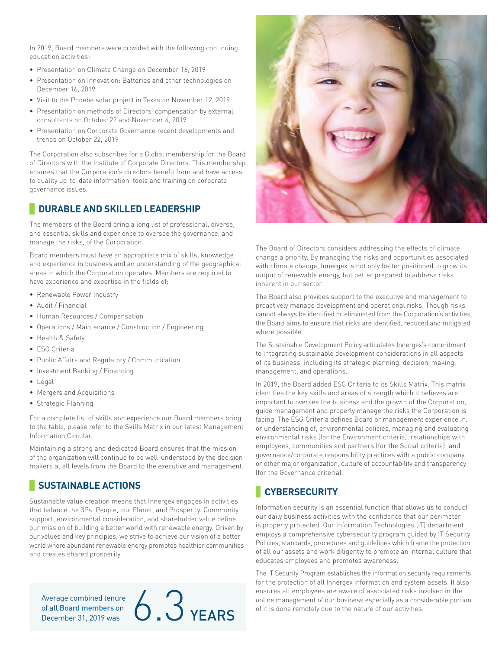In 2019, Board members were provided with the following continuing education activities:

- Presentation on Climate Change on December 16, 2019
- Presentation on Innovation: Batteries and other technologies on December 16, 2019
- Visit to the Phoebe solar project in Texas on November 12, 2019
- Presentation on methods of Directors' compensation by external consultants on October 22 and November 4, 2019
- Presentation on Corporate Governance recent developments and trends on October 22, 2019

The Corporation also subscribes for a Global membership for the Board of Directors with the Institute of Corporate Directors. This membership ensures that the Corporation's directors benefit from and have access to quality up-to-date information, tools and training on corporate governance issues.

#### **DURABLE AND SKILLED LEADERSHIP**

The members of the Board bring a long list of professional, diverse, and essential skills and experience to oversee the governance, and manage the risks, of the Corporation.

Board members must have an appropriate mix of skills, knowledge and experience in business and an understanding of the geographical areas in which the Corporation operates. Members are required to have experience and expertise in the fields of:

- Renewable Power Industry
- Audit / Financial
- Human Resources / Compensation
- Operations / Maintenance / Construction / Engineering
- Health & Safety
- ESG Criteria
- Public Affairs and Regulatory / Communication
- Investment Banking / Financing
- Legal
- Mergers and Acquisitions
- Strategic Planning

For a complete list of skills and experience our Board members bring to the table, please refer to the Skills Matrix in our latest Management Information Circular.

Maintaining a strong and dedicated Board ensures that the mission of the organization will continue to be well-understood by the decision makers at all levels from the Board to the executive and management.

#### **SUSTAINABLE ACTIONS**

Sustainable value creation means that Innergex engages in activities that balance the 3Ps: People, our Planet, and Prosperity. Community support, environmental consideration, and shareholder value define our mission of building a better world with renewable energy. Driven by our values and key principles, we strive to achieve our vision of a better world where abundant renewable energy promotes healthier communities and creates shared prosperity.

Average combined tenure





The Board of Directors considers addressing the effects of climate change a priority. By managing the risks and opportunities associated with climate change, Innergex is not only better positioned to grow its output of renewable energy, but better prepared to address risks inherent in our sector.

The Board also provides support to the executive and management to proactively manage development and operational risks. Though risks cannot always be identified or eliminated from the Corporation's activities, the Board aims to ensure that risks are identified, reduced and mitigated where possible.

The Sustainable Development Policy articulates Innergex's commitment to integrating sustainable development considerations in all aspects of its business, including its strategic planning, decision-making, management, and operations.

In 2019, the Board added ESG Criteria to its Skills Matrix. This matrix identifies the key skills and areas of strength which it believes are important to oversee the business and the growth of the Corporation, guide management and properly manage the risks the Corporation is facing. The ESG Criteria defines Board or management experience in, or understanding of, environmental policies, managing and evaluating environmental risks (for the Environment criteria); relationships with employees, communities and partners (for the Social criteria); and governance/corporate responsibility practices with a public company or other major organization, culture of accountability and transparency (for the Governance criteria).

#### **CYBERSECURITY**

Information security is an essential function that allows us to conduct our daily business activities with the confidence that our perimeter is properly protected. Our Information Technologies (IT) department employs a comprehensive cybersecurity program guided by IT Security Policies, standards, procedures and guidelines which frame the protection of all our assets and work diligently to promote an internal culture that educates employees and promotes awareness.

The IT Security Program establishes the information security requirements for the protection of all Innergex information and system assets. It also ensures all employees are aware of associated risks involved in the **O**<br> **O PEARS EXARS EXARS EXARS EXARS EXARS EXARS EXARS EXARS EXARS EXARS EXARS EXARS EXARS EXARS EXARS EXARS EXARS EXARS EXARS EXARS EXABLE 20.3 CONSIDERATS EXABLE 20.3 CO**